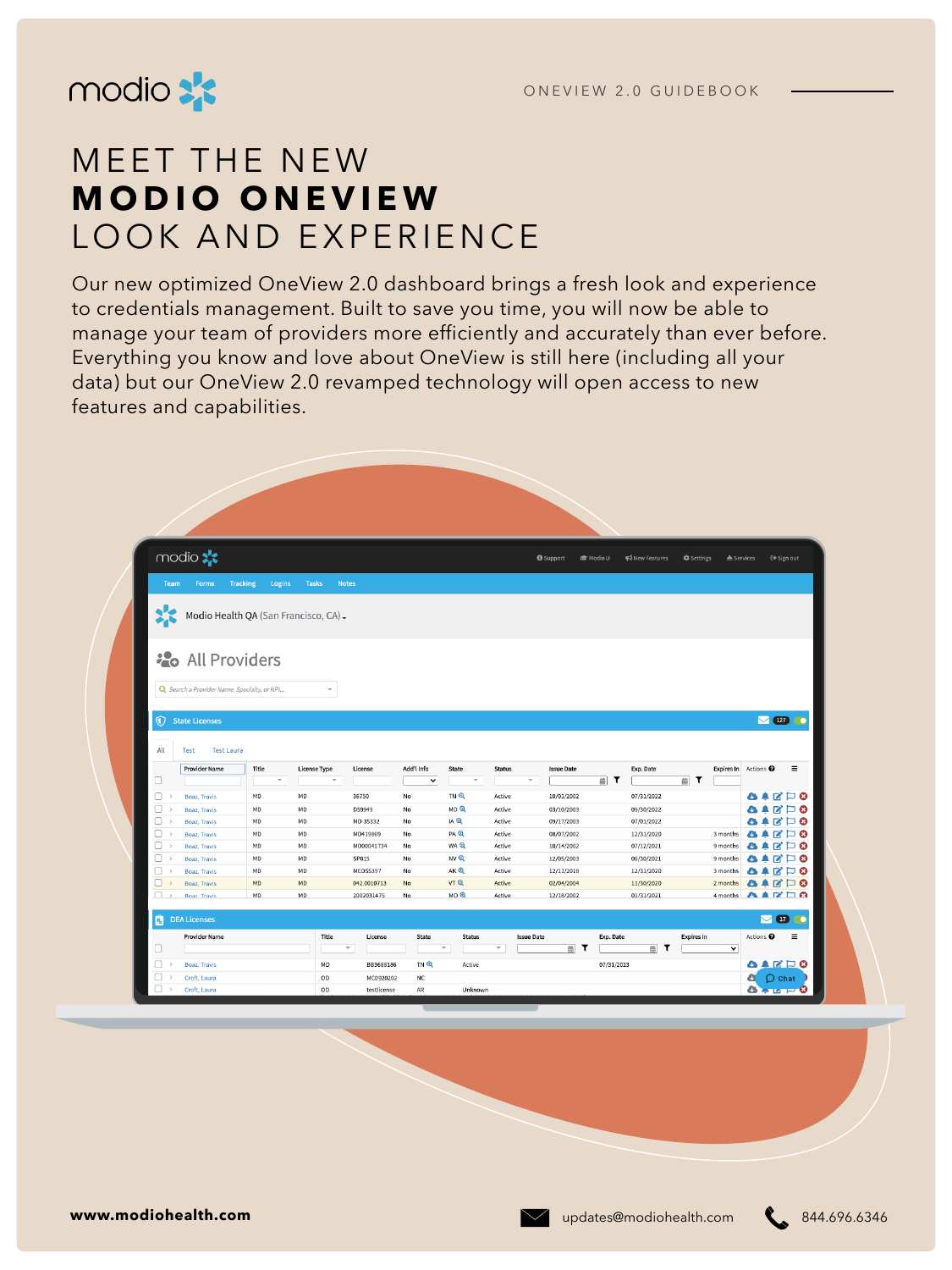

# MEET THE NEW **MODIO ONEVIEW**  LOOK AND EXPERIENCE

Our new optimized OneView 2.0 dashboard brings a fresh look and experience to credentials management. Built to save you time, you will now be able to manage your team of providers more efficiently and accurately than ever before. Everything you know and love about OneView is still here (including all your data) but our OneView 2.0 revamped technology will open access to new features and capabilities.

| modio **                                                                                                             |                           |                          |                                    |                           |                                 |                          | <b>O</b> Support                  | <b>■ Modio U</b> | New Features     | Settings          | ≜ Services                      |                                                     | C→ Sign out                       |
|----------------------------------------------------------------------------------------------------------------------|---------------------------|--------------------------|------------------------------------|---------------------------|---------------------------------|--------------------------|-----------------------------------|------------------|------------------|-------------------|---------------------------------|-----------------------------------------------------|-----------------------------------|
| Team<br><b>Forms</b>                                                                                                 | <b>Tracking</b><br>Logins | <b>Tasks</b>             | <b>Notes</b>                       |                           |                                 |                          |                                   |                  |                  |                   |                                 |                                                     |                                   |
| 氺<br>Modio Health QA (San Francisco, CA) -                                                                           |                           |                          |                                    |                           |                                 |                          |                                   |                  |                  |                   |                                 |                                                     |                                   |
| <b>20</b> All Providers                                                                                              |                           |                          |                                    |                           |                                 |                          |                                   |                  |                  |                   |                                 |                                                     |                                   |
| Q Search a Provider Name, Specialty, or NPI                                                                          |                           | $\overline{\phantom{a}}$ |                                    |                           |                                 |                          |                                   |                  |                  |                   |                                 |                                                     |                                   |
| $\circledR$<br><b>State Licenses</b>                                                                                 |                           |                          |                                    |                           |                                 |                          |                                   |                  |                  |                   |                                 |                                                     | $\sqrt{127}$ $\circ$              |
|                                                                                                                      |                           |                          |                                    |                           |                                 |                          |                                   |                  |                  |                   |                                 |                                                     |                                   |
|                                                                                                                      |                           |                          |                                    |                           |                                 |                          |                                   |                  |                  |                   |                                 |                                                     |                                   |
| Test<br><b>Test Laura</b>                                                                                            |                           |                          |                                    |                           |                                 |                          |                                   |                  |                  |                   |                                 |                                                     |                                   |
| <b>Provider Name</b>                                                                                                 | Title<br>$\mathbf{v}$     | <b>License Type</b>      | License<br>$\overline{\mathbf{v}}$ | Add'l Info<br>$\check{~}$ | State<br>$\overline{\mathbf v}$ | <b>Status</b>            | <b>Issue Date</b><br>$\mathbf{v}$ | $\mathbf r$<br>苗 | Exp. Date        |                   | Expires In Actions <sup>O</sup> |                                                     | $\equiv$                          |
| Boaz, Travis                                                                                                         | MD                        | MD                       | 36750                              | No                        | TN Q                            | Active                   | 10/01/2002                        |                  | 07/31/2022       | <b>■ ▼</b>        |                                 |                                                     |                                   |
| Boaz, Travis                                                                                                         | MD                        | MD                       | D59949                             | No                        | MDQ                             | Active                   | 03/10/2003                        |                  | 09/30/2022       |                   |                                 | $\bullet \bullet \text{C} \sqcup \text{O}$<br>84808 |                                   |
| Boaz, Travis                                                                                                         | MD                        | MD                       | MD-35332                           | No                        | IA Q                            | Active                   | 09/17/2003                        |                  | 07/01/2022       |                   |                                 | Ø                                                   | $\Box$ 0                          |
| Boaz, Travis                                                                                                         | MD                        | MD                       | MD419869                           | No                        | PA Q                            | Active                   | 08/07/2002                        |                  | 12/31/2020       |                   | 3 months                        | R                                                   | P 0                               |
| Boaz, Travis                                                                                                         | MD                        | MD                       | MD00041734                         | No                        | <b>WAQ</b>                      | Active                   | 10/14/2002                        |                  | 07/12/2021       |                   | 9 months                        | A<br>Ø                                              | ⊏ ⊗                               |
| Boaz, Travis<br>$\rightarrow$                                                                                        | MD                        | MD                       | SP015                              | No                        | NVI                             | Active                   | 12/05/2003                        |                  | 06/30/2021       |                   | 9 months                        | R<br>w                                              | ⊏ ⊗                               |
| Boaz, Travis                                                                                                         | MD                        | MD                       | <b>MEDS5397</b>                    | No                        | AK <sub>Q</sub>                 | Active                   | 12/11/2018                        |                  | 12/31/2020       |                   | 3 months                        | m                                                   | $\Box$ 0                          |
| Boaz, Travis                                                                                                         | MD                        | MD                       | 042.0010713                        | No                        | <b>VT</b> <sup>Q</sup>          | Active                   | 02/04/2004                        |                  | 11/30/2020       |                   | 2 months                        | A                                                   | $\mathbf{Z} \boxtimes \mathbf{S}$ |
| <b>Boaz</b> , Travis                                                                                                 | MD                        | MD                       | 2002031475                         | No                        | $MO$ $Q$                        | Active                   | 12/18/2002                        |                  | 01/31/2021       |                   | 4 months                        | <b>AARD8</b>                                        |                                   |
| <b>DEA Licenses</b>                                                                                                  |                           |                          |                                    |                           |                                 |                          |                                   |                  |                  |                   |                                 |                                                     | $\sim$ 0 0                        |
| <b>Provider Name</b>                                                                                                 |                           | Title                    | License                            | State                     | <b>Status</b>                   |                          | <b>Issue Date</b>                 | Exp. Date        |                  | <b>Expires In</b> |                                 | Actions <sup>O</sup>                                | $\equiv$                          |
|                                                                                                                      |                           |                          | $\overline{\mathbf{v}}$            |                           | $\overline{\mathbf v}$          | $\overline{\phantom{a}}$ | <b>■ T</b>                        |                  | $\mathbf r$<br>曲 |                   | $\checkmark$                    |                                                     |                                   |
| Boaz, Travis                                                                                                         |                           | MD                       | BB3688186                          | TN Q                      | Active                          |                          |                                   | 07/31/2023       |                  |                   |                                 | 84808                                               |                                   |
| All<br>□<br>0<br>0<br>□<br>u<br>0<br>o<br>O<br>$\Box$<br>ш<br>Ŕ<br>□<br>0<br>$\Box$<br>Croft, Laura<br>$\rightarrow$ |                           | OD                       | MC0920202                          | NC                        |                                 |                          |                                   |                  |                  |                   |                                 | <b>Q</b> O Chat                                     |                                   |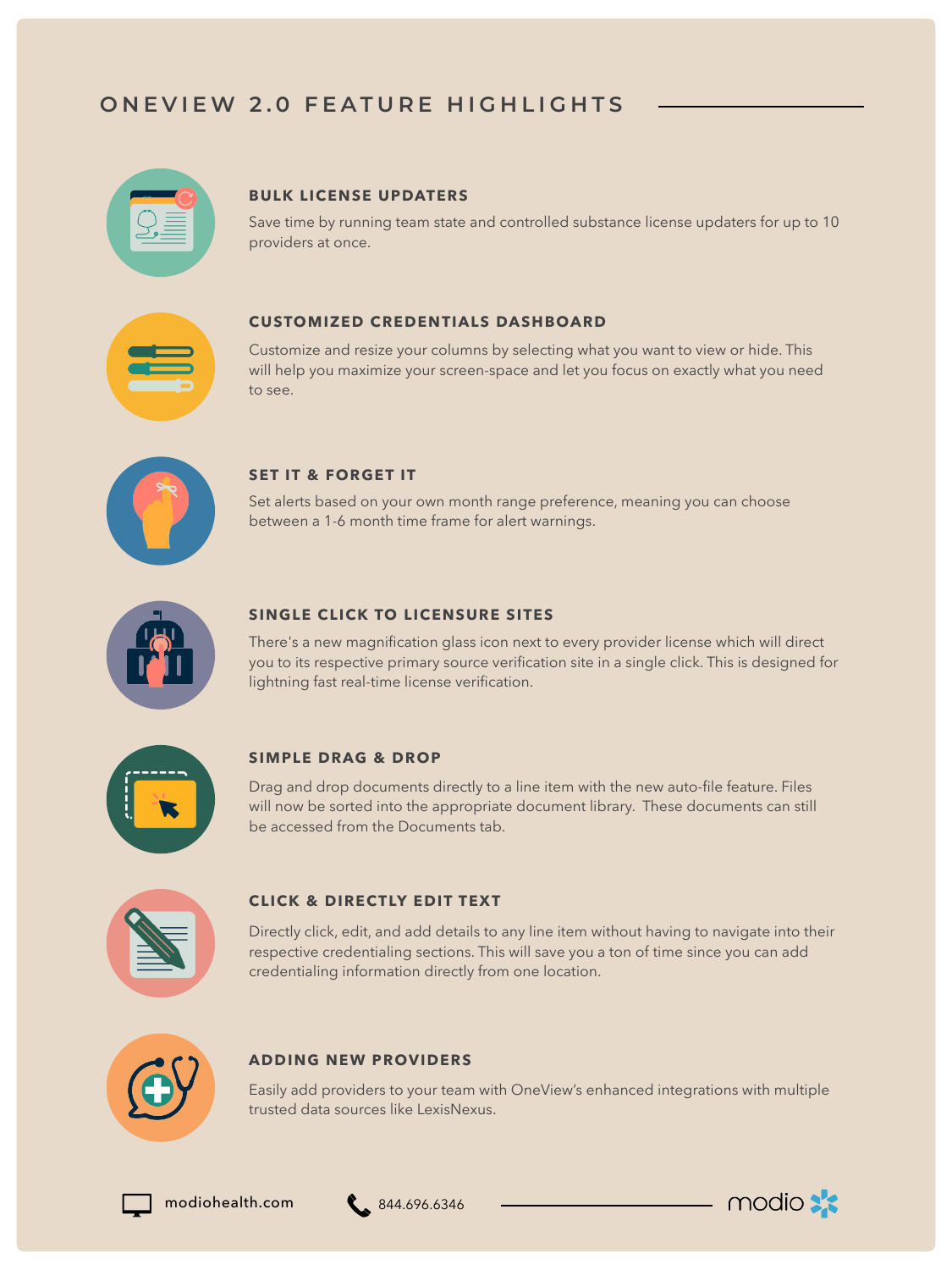## **ONEVIEW 2.0 FEATURE HIGHLIGHTS**

#### **BULK LICENSE UPDATERS**

Save time by running team state and controlled substance license updaters for up to 10 providers at once.

#### **CUSTOMIZED CREDENTIALS DASHBOARD**

Customize and resize your columns by selecting what you want to view or hide. This will help you maximize your screen-space and let you focus on exactly what you need to see.



#### **SET IT & FORGET IT**

Set alerts based on your own month range preference, meaning you can choose between a 1-6 month time frame for alert warnings.



#### **SINGLE CLICK TO LICENSURE SITES**

There's a new magnification glass icon next to every provider license which will direct you to its respective primary source verification site in a single click. This is designed for lightning fast real-time license verification.



#### **SIMPLE DRAG & DROP**

Drag and drop documents directly to a line item with the new auto-file feature. Files will now be sorted into the appropriate document library. These documents can still be accessed from the Documents tab.



#### **CLICK & DIRECTLY EDIT TEXT**

Directly click, edit, and add details to any line item without having to navigate into their respective credentialing sections. This will save you a ton of time since you can add credentialing information directly from one location.



#### **ADDING NEW PROVIDERS**

Easily add providers to your team with OneView's enhanced integrations with multiple trusted data sources like LexisNexus.